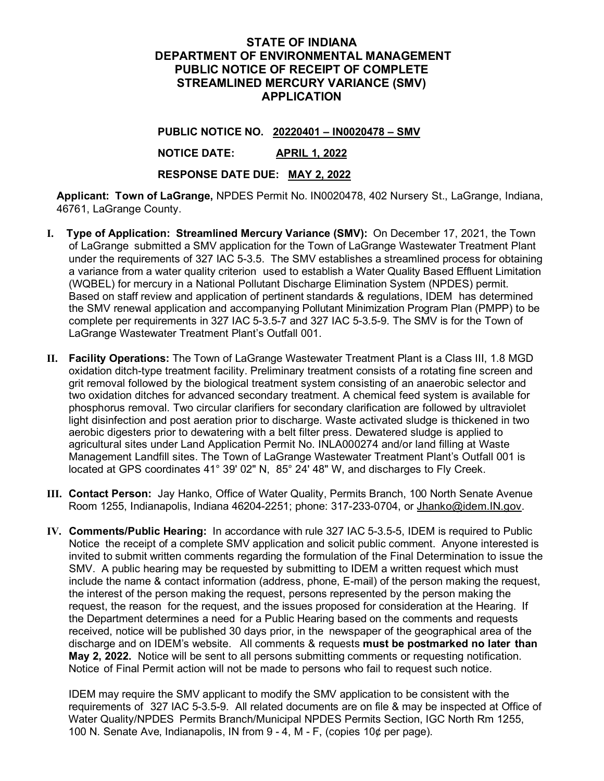## **STATE OF INDIANA DEPARTMENT OF ENVIRONMENTAL MANAGEMENT PUBLIC NOTICE OF RECEIPT OF COMPLETE STREAMLINED MERCURY VARIANCE (SMV) APPLICATION**

**PUBLIC NOTICE NO. 20220401 – IN0020478 – SMV**

**NOTICE DATE: APRIL 1, 2022**

**RESPONSE DATE DUE: MAY 2, 2022**

**Applicant: Town of LaGrange,** NPDES Permit No. IN0020478, 402 Nursery St., LaGrange, Indiana, 46761, LaGrange County.

- **I. Type of Application: Streamlined Mercury Variance (SMV):** On December 17, 2021, the Town of LaGrange submitted a SMV application for the Town of LaGrange Wastewater Treatment Plant under the requirements of 327 IAC 5-3.5. The SMV establishes a streamlined process for obtaining a variance from a water quality criterion used to establish a Water Quality Based Effluent Limitation (WQBEL) for mercury in a National Pollutant Discharge Elimination System (NPDES) permit. Based on staff review and application of pertinent standards & regulations, IDEM has determined the SMV renewal application and accompanying Pollutant Minimization Program Plan (PMPP) to be complete per requirements in 327 IAC 5-3.5-7 and 327 IAC 5-3.5-9. The SMV is for the Town of LaGrange Wastewater Treatment Plant's Outfall 001.
- **II. Facility Operations:** The Town of LaGrange Wastewater Treatment Plant is a Class III, 1.8 MGD oxidation ditch-type treatment facility. Preliminary treatment consists of a rotating fine screen and grit removal followed by the biological treatment system consisting of an anaerobic selector and two oxidation ditches for advanced secondary treatment. A chemical feed system is available for phosphorus removal. Two circular clarifiers for secondary clarification are followed by ultraviolet light disinfection and post aeration prior to discharge. Waste activated sludge is thickened in two aerobic digesters prior to dewatering with a belt filter press. Dewatered sludge is applied to agricultural sites under Land Application Permit No. INLA000274 and/or land filling at Waste Management Landfill sites. The Town of LaGrange Wastewater Treatment Plant's Outfall 001 is located at GPS coordinates 41° 39' 02" N, 85° 24' 48" W, and discharges to Fly Creek.
- **III. Contact Person:** Jay Hanko, Office of Water Quality, Permits Branch, 100 North Senate Avenue Room 1255, Indianapolis, Indiana 46204-2251; phone: 317-233-0704, or Jhanko@idem.IN.gov.
- **IV. Comments/Public Hearing:** In accordance with rule 327 IAC 5-3.5-5, IDEM is required to Public Notice the receipt of a complete SMV application and solicit public comment. Anyone interested is invited to submit written comments regarding the formulation of the Final Determination to issue the SMV. A public hearing may be requested by submitting to IDEM a written request which must include the name & contact information (address, phone, E-mail) of the person making the request, the interest of the person making the request, persons represented by the person making the request, the reason for the request, and the issues proposed for consideration at the Hearing. If the Department determines a need for a Public Hearing based on the comments and requests received, notice will be published 30 days prior, in the newspaper of the geographical area of the discharge and on IDEM's website. All comments & requests **must be postmarked no later than May 2, 2022.** Notice will be sent to all persons submitting comments or requesting notification. Notice of Final Permit action will not be made to persons who fail to request such notice.

IDEM may require the SMV applicant to modify the SMV application to be consistent with the requirements of 327 IAC 5-3.5-9. All related documents are on file & may be inspected at Office of Water Quality/NPDES Permits Branch/Municipal NPDES Permits Section, IGC North Rm 1255, 100 N. Senate Ave, Indianapolis, IN from 9 - 4, M - F, (copies 10¢ per page).